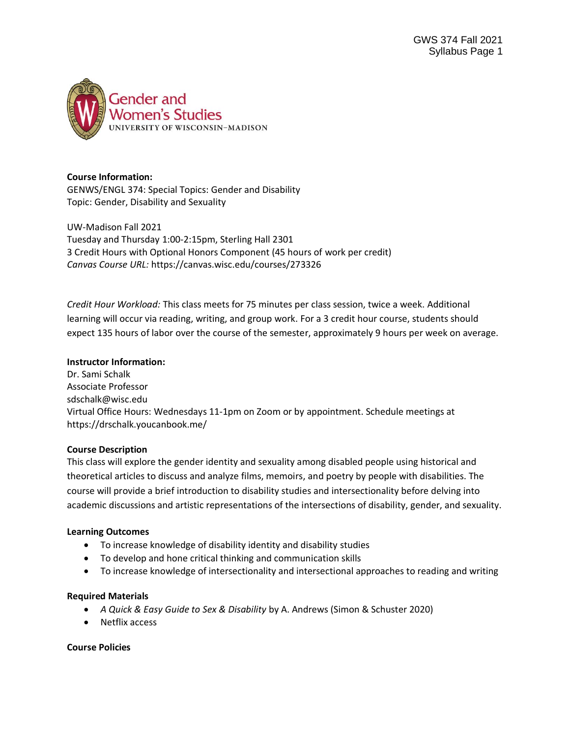

### **Course Information:**

GENWS/ENGL 374: Special Topics: Gender and Disability Topic: Gender, Disability and Sexuality

UW-Madison Fall 2021 Tuesday and Thursday 1:00-2:15pm, Sterling Hall 2301 3 Credit Hours with Optional Honors Component (45 hours of work per credit) *Canvas Course URL:* https://canvas.wisc.edu/courses/273326

*Credit Hour Workload:* This class meets for 75 minutes per class session, twice a week. Additional learning will occur via reading, writing, and group work. For a 3 credit hour course, students should expect 135 hours of labor over the course of the semester, approximately 9 hours per week on average.

#### **Instructor Information:**

Dr. Sami Schalk Associate Professor sdschalk@wisc.edu Virtual Office Hours: Wednesdays 11-1pm on Zoom or by appointment. Schedule meetings at https://drschalk.youcanbook.me/

### **Course Description**

This class will explore the gender identity and sexuality among disabled people using historical and theoretical articles to discuss and analyze films, memoirs, and poetry by people with disabilities. The course will provide a brief introduction to disability studies and intersectionality before delving into academic discussions and artistic representations of the intersections of disability, gender, and sexuality.

### **Learning Outcomes**

- To increase knowledge of disability identity and disability studies
- To develop and hone critical thinking and communication skills
- To increase knowledge of intersectionality and intersectional approaches to reading and writing

### **Required Materials**

- *A Quick & Easy Guide to Sex & Disability* by A. Andrews (Simon & Schuster 2020)
- Netflix access

### **Course Policies**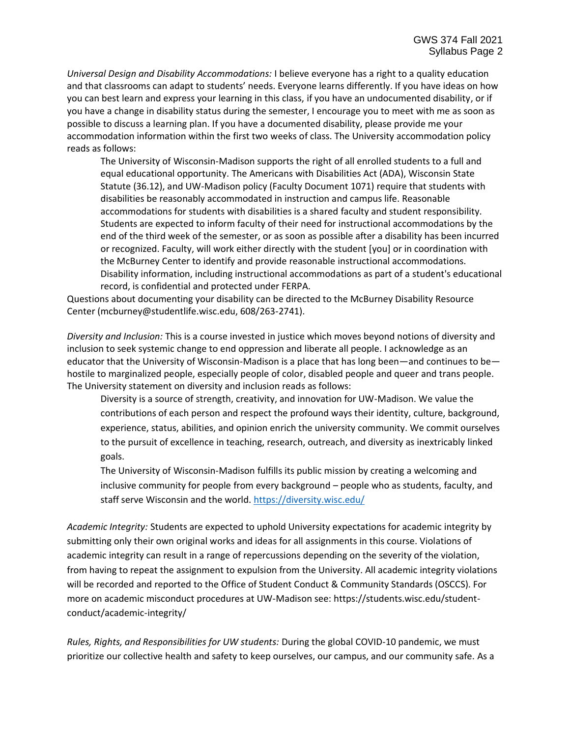*Universal Design and Disability Accommodations:* I believe everyone has a right to a quality education and that classrooms can adapt to students' needs. Everyone learns differently. If you have ideas on how you can best learn and express your learning in this class, if you have an undocumented disability, or if you have a change in disability status during the semester, I encourage you to meet with me as soon as possible to discuss a learning plan. If you have a documented disability, please provide me your accommodation information within the first two weeks of class. The University accommodation policy reads as follows:

The University of Wisconsin-Madison supports the right of all enrolled students to a full and equal educational opportunity. The Americans with Disabilities Act (ADA), Wisconsin State Statute (36.12), and UW-Madison policy (Faculty Document 1071) require that students with disabilities be reasonably accommodated in instruction and campus life. Reasonable accommodations for students with disabilities is a shared faculty and student responsibility. Students are expected to inform faculty of their need for instructional accommodations by the end of the third week of the semester, or as soon as possible after a disability has been incurred or recognized. Faculty, will work either directly with the student [you] or in coordination with the McBurney Center to identify and provide reasonable instructional accommodations. Disability information, including instructional accommodations as part of a student's educational record, is confidential and protected under FERPA.

Questions about documenting your disability can be directed to the McBurney Disability Resource Center (mcburney@studentlife.wisc.edu, 608/263-2741).

*Diversity and Inclusion:* This is a course invested in justice which moves beyond notions of diversity and inclusion to seek systemic change to end oppression and liberate all people. I acknowledge as an educator that the University of Wisconsin-Madison is a place that has long been—and continues to be hostile to marginalized people, especially people of color, disabled people and queer and trans people. The University statement on diversity and inclusion reads as follows:

Diversity is a source of strength, creativity, and innovation for UW-Madison. We value the contributions of each person and respect the profound ways their identity, culture, background, experience, status, abilities, and opinion enrich the university community. We commit ourselves to the pursuit of excellence in teaching, research, outreach, and diversity as inextricably linked goals.

The University of Wisconsin-Madison fulfills its public mission by creating a welcoming and inclusive community for people from every background – people who as students, faculty, and staff serve Wisconsin and the world. <https://diversity.wisc.edu/>

*Academic Integrity:* Students are expected to uphold University expectations for academic integrity by submitting only their own original works and ideas for all assignments in this course. Violations of academic integrity can result in a range of repercussions depending on the severity of the violation, from having to repeat the assignment to expulsion from the University. All academic integrity violations will be recorded and reported to the Office of Student Conduct & Community Standards (OSCCS). For more on academic misconduct procedures at UW-Madison see: https://students.wisc.edu/studentconduct/academic-integrity/

*Rules, Rights, and Responsibilities for UW students:* During the global COVID-10 pandemic, we must prioritize our collective health and safety to keep ourselves, our campus, and our community safe. As a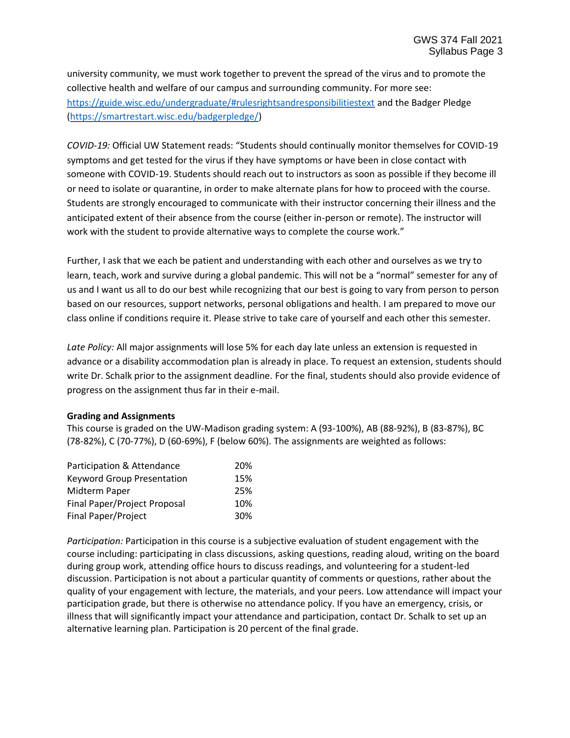university community, we must work together to prevent the spread of the virus and to promote the collective health and welfare of our campus and surrounding community. For more see: <https://guide.wisc.edu/undergraduate/#rulesrightsandresponsibilitiestext> and the Badger Pledge [\(https://smartrestart.wisc.edu/badgerpledge/\)](https://smartrestart.wisc.edu/badgerpledge/)

*COVID-19:* Official UW Statement reads: "Students should continually monitor themselves for COVID-19 symptoms and get tested for the virus if they have symptoms or have been in close contact with someone with COVID-19. Students should reach out to instructors as soon as possible if they become ill or need to isolate or quarantine, in order to make alternate plans for how to proceed with the course. Students are strongly encouraged to communicate with their instructor concerning their illness and the anticipated extent of their absence from the course (either in-person or remote). The instructor will work with the student to provide alternative ways to complete the course work."

Further, I ask that we each be patient and understanding with each other and ourselves as we try to learn, teach, work and survive during a global pandemic. This will not be a "normal" semester for any of us and I want us all to do our best while recognizing that our best is going to vary from person to person based on our resources, support networks, personal obligations and health. I am prepared to move our class online if conditions require it. Please strive to take care of yourself and each other this semester.

*Late Policy:* All major assignments will lose 5% for each day late unless an extension is requested in advance or a disability accommodation plan is already in place. To request an extension, students should write Dr. Schalk prior to the assignment deadline. For the final, students should also provide evidence of progress on the assignment thus far in their e-mail.

### **Grading and Assignments**

This course is graded on the UW-Madison grading system: A (93-100%), AB (88-92%), B (83-87%), BC (78-82%), C (70-77%), D (60-69%), F (below 60%). The assignments are weighted as follows:

| Participation & Attendance        | 20% |
|-----------------------------------|-----|
| <b>Keyword Group Presentation</b> | 15% |
| Midterm Paper                     | 25% |
| Final Paper/Project Proposal      | 10% |
| <b>Final Paper/Project</b>        | 30% |

*Participation:* Participation in this course is a subjective evaluation of student engagement with the course including: participating in class discussions, asking questions, reading aloud, writing on the board during group work, attending office hours to discuss readings, and volunteering for a student-led discussion. Participation is not about a particular quantity of comments or questions, rather about the quality of your engagement with lecture, the materials, and your peers. Low attendance will impact your participation grade, but there is otherwise no attendance policy. If you have an emergency, crisis, or illness that will significantly impact your attendance and participation, contact Dr. Schalk to set up an alternative learning plan. Participation is 20 percent of the final grade.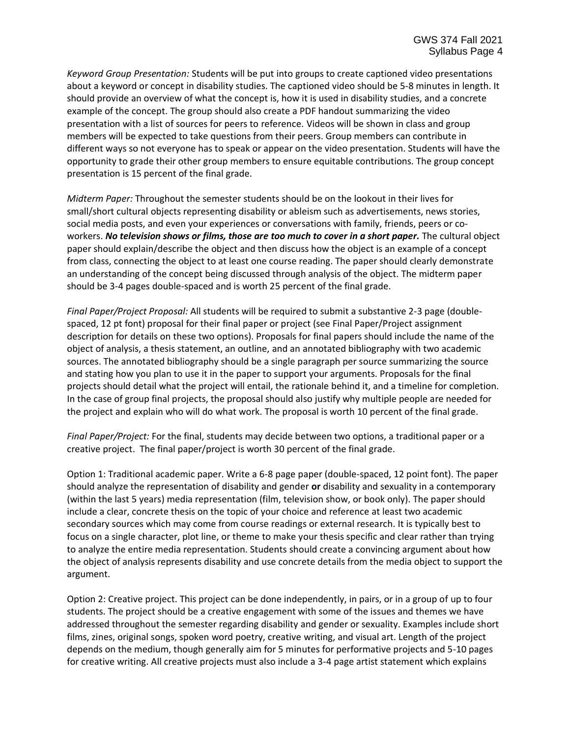*Keyword Group Presentation:* Students will be put into groups to create captioned video presentations about a keyword or concept in disability studies. The captioned video should be 5-8 minutes in length. It should provide an overview of what the concept is, how it is used in disability studies, and a concrete example of the concept. The group should also create a PDF handout summarizing the video presentation with a list of sources for peers to reference. Videos will be shown in class and group members will be expected to take questions from their peers. Group members can contribute in different ways so not everyone has to speak or appear on the video presentation. Students will have the opportunity to grade their other group members to ensure equitable contributions. The group concept presentation is 15 percent of the final grade.

*Midterm Paper:* Throughout the semester students should be on the lookout in their lives for small/short cultural objects representing disability or ableism such as advertisements, news stories, social media posts, and even your experiences or conversations with family, friends, peers or coworkers. *No television shows or films, those are too much to cover in a short paper.* The cultural object paper should explain/describe the object and then discuss how the object is an example of a concept from class, connecting the object to at least one course reading. The paper should clearly demonstrate an understanding of the concept being discussed through analysis of the object. The midterm paper should be 3-4 pages double-spaced and is worth 25 percent of the final grade.

*Final Paper/Project Proposal:* All students will be required to submit a substantive 2-3 page (doublespaced, 12 pt font) proposal for their final paper or project (see Final Paper/Project assignment description for details on these two options). Proposals for final papers should include the name of the object of analysis, a thesis statement, an outline, and an annotated bibliography with two academic sources. The annotated bibliography should be a single paragraph per source summarizing the source and stating how you plan to use it in the paper to support your arguments. Proposals for the final projects should detail what the project will entail, the rationale behind it, and a timeline for completion. In the case of group final projects, the proposal should also justify why multiple people are needed for the project and explain who will do what work. The proposal is worth 10 percent of the final grade.

*Final Paper/Project:* For the final, students may decide between two options, a traditional paper or a creative project. The final paper/project is worth 30 percent of the final grade.

Option 1: Traditional academic paper. Write a 6-8 page paper (double-spaced, 12 point font). The paper should analyze the representation of disability and gender **or** disability and sexuality in a contemporary (within the last 5 years) media representation (film, television show, or book only). The paper should include a clear, concrete thesis on the topic of your choice and reference at least two academic secondary sources which may come from course readings or external research. It is typically best to focus on a single character, plot line, or theme to make your thesis specific and clear rather than trying to analyze the entire media representation. Students should create a convincing argument about how the object of analysis represents disability and use concrete details from the media object to support the argument.

Option 2: Creative project. This project can be done independently, in pairs, or in a group of up to four students. The project should be a creative engagement with some of the issues and themes we have addressed throughout the semester regarding disability and gender or sexuality. Examples include short films, zines, original songs, spoken word poetry, creative writing, and visual art. Length of the project depends on the medium, though generally aim for 5 minutes for performative projects and 5-10 pages for creative writing. All creative projects must also include a 3-4 page artist statement which explains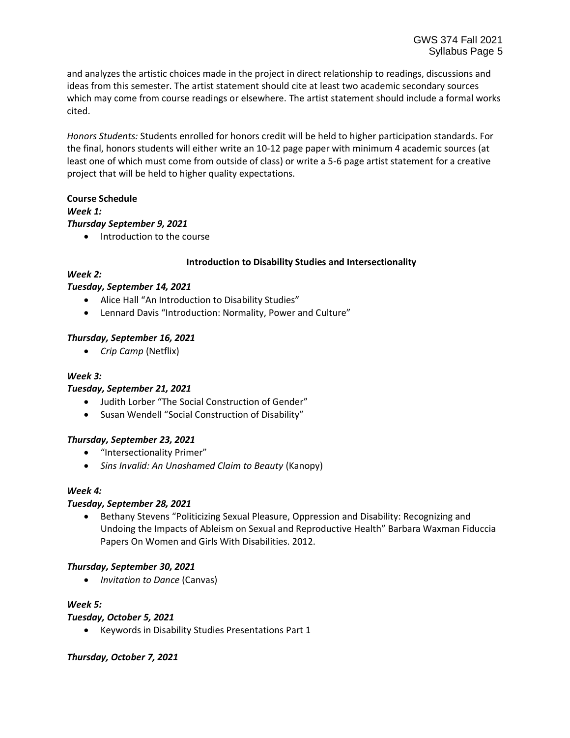and analyzes the artistic choices made in the project in direct relationship to readings, discussions and ideas from this semester. The artist statement should cite at least two academic secondary sources which may come from course readings or elsewhere. The artist statement should include a formal works cited.

*Honors Students:* Students enrolled for honors credit will be held to higher participation standards. For the final, honors students will either write an 10-12 page paper with minimum 4 academic sources (at least one of which must come from outside of class) or write a 5-6 page artist statement for a creative project that will be held to higher quality expectations.

## **Course Schedule** *Week 1:*

### *Thursday September 9, 2021*

• Introduction to the course

### **Introduction to Disability Studies and Intersectionality**

## *Week 2:*

## *Tuesday, September 14, 2021*

- Alice Hall "An Introduction to Disability Studies"
- Lennard Davis "Introduction: Normality, Power and Culture"

## *Thursday, September 16, 2021*

• *Crip Camp* (Netflix)

# *Week 3:*

### *Tuesday, September 21, 2021*

- Judith Lorber "The Social Construction of Gender"
- Susan Wendell "Social Construction of Disability"

### *Thursday, September 23, 2021*

- "Intersectionality Primer"
- *Sins Invalid: An Unashamed Claim to Beauty* (Kanopy)

### *Week 4:*

### *Tuesday, September 28, 2021*

• Bethany Stevens "Politicizing Sexual Pleasure, Oppression and Disability: Recognizing and Undoing the Impacts of Ableism on Sexual and Reproductive Health" Barbara Waxman Fiduccia Papers On Women and Girls With Disabilities. 2012.

### *Thursday, September 30, 2021*

• *Invitation to Dance* (Canvas)

### *Week 5:*

### *Tuesday, October 5, 2021*

• Keywords in Disability Studies Presentations Part 1

### *Thursday, October 7, 2021*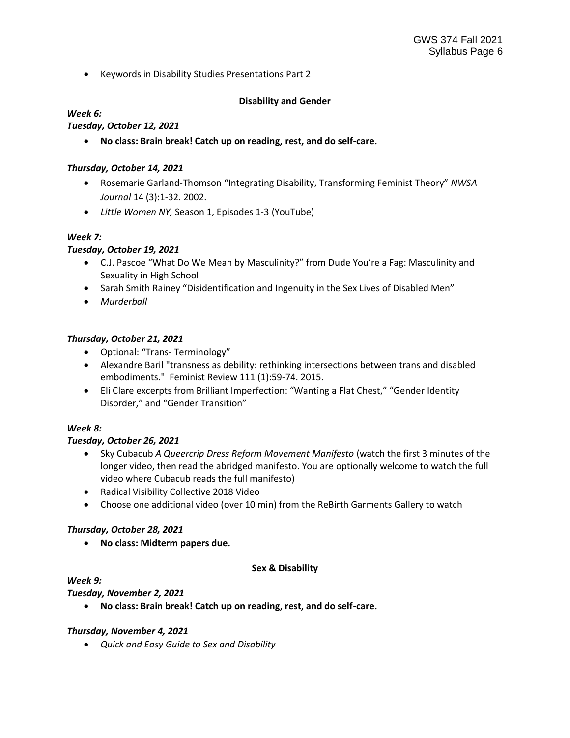• Keywords in Disability Studies Presentations Part 2

## **Disability and Gender**

### *Week 6:*

## *Tuesday, October 12, 2021*

• **No class: Brain break! Catch up on reading, rest, and do self-care.**

### *Thursday, October 14, 2021*

- Rosemarie Garland-Thomson "Integrating Disability, Transforming Feminist Theory" *NWSA Journal* 14 (3):1-32. 2002.
- *Little Women NY,* Season 1, Episodes 1-3 (YouTube)

## *Week 7:*

## *Tuesday, October 19, 2021*

- C.J. Pascoe "What Do We Mean by Masculinity?" from Dude You're a Fag: Masculinity and Sexuality in High School
- Sarah Smith Rainey "Disidentification and Ingenuity in the Sex Lives of Disabled Men"
- *Murderball*

## *Thursday, October 21, 2021*

- Optional: "Trans- Terminology"
- Alexandre Baril "transness as debility: rethinking intersections between trans and disabled embodiments." Feminist Review 111 (1):59-74. 2015.
- Eli Clare excerpts from Brilliant Imperfection: "Wanting a Flat Chest," "Gender Identity Disorder," and "Gender Transition"

### *Week 8:*

### *Tuesday, October 26, 2021*

- Sky Cubacub *A Queercrip Dress Reform Movement Manifesto* (watch the first 3 minutes of the longer video, then read the abridged manifesto. You are optionally welcome to watch the full video where Cubacub reads the full manifesto)
- Radical Visibility Collective 2018 Video
- Choose one additional video (over 10 min) from the ReBirth Garments Gallery to watch

### *Thursday, October 28, 2021*

• **No class: Midterm papers due.**

### **Sex & Disability**

### *Week 9:*

### *Tuesday, November 2, 2021*

• **No class: Brain break! Catch up on reading, rest, and do self-care.**

### *Thursday, November 4, 2021*

• *Quick and Easy Guide to Sex and Disability*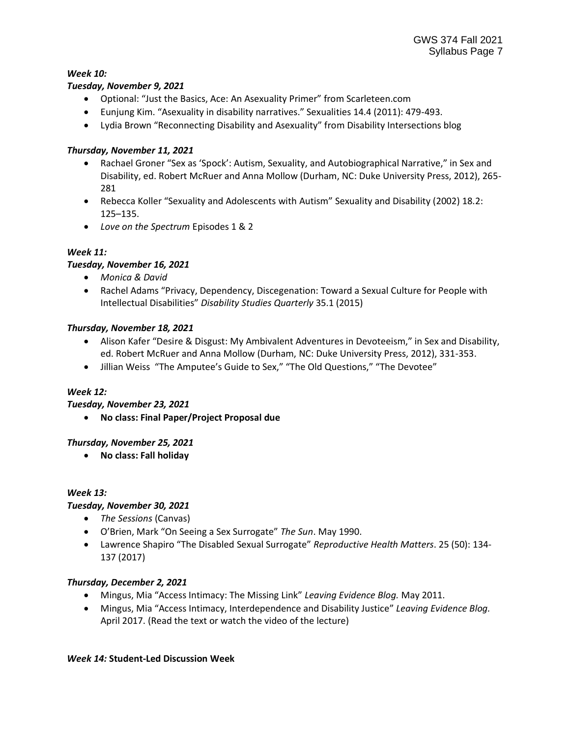### *Week 10:*

### *Tuesday, November 9, 2021*

- Optional: "Just the Basics, Ace: An Asexuality Primer" from Scarleteen.com
- Eunjung Kim. "Asexuality in disability narratives." Sexualities 14.4 (2011): 479-493.
- Lydia Brown "Reconnecting Disability and Asexuality" from Disability Intersections blog

# *Thursday, November 11, 2021*

- Rachael Groner "Sex as 'Spock': Autism, Sexuality, and Autobiographical Narrative," in Sex and Disability, ed. Robert McRuer and Anna Mollow (Durham, NC: Duke University Press, 2012), 265- 281
- Rebecca Koller "Sexuality and Adolescents with Autism" Sexuality and Disability (2002) 18.2: 125–135.
- *Love on the Spectrum* Episodes 1 & 2

## *Week 11:*

## *Tuesday, November 16, 2021*

- *Monica & David*
- Rachel Adams "Privacy, Dependency, Discegenation: Toward a Sexual Culture for People with Intellectual Disabilities" *Disability Studies Quarterly* 35.1 (2015)

## *Thursday, November 18, 2021*

- Alison Kafer "Desire & Disgust: My Ambivalent Adventures in Devoteeism," in Sex and Disability, ed. Robert McRuer and Anna Mollow (Durham, NC: Duke University Press, 2012), 331-353.
- Jillian Weiss "The Amputee's Guide to Sex," "The Old Questions," "The Devotee"

### *Week 12:*

*Tuesday, November 23, 2021*

• **No class: Final Paper/Project Proposal due**

### *Thursday, November 25, 2021*

• **No class: Fall holiday**

### *Week 13:*

### *Tuesday, November 30, 2021*

- *The Sessions* (Canvas)
- O'Brien, Mark "On Seeing a Sex Surrogate" *The Sun*. May 1990.
- Lawrence Shapiro "The Disabled Sexual Surrogate" *Reproductive Health Matters*. 25 (50): 134- 137 (2017)

### *Thursday, December 2, 2021*

- Mingus, Mia "Access Intimacy: The Missing Link" *Leaving Evidence Blog.* May 2011.
- Mingus, Mia "Access Intimacy, Interdependence and Disability Justice" *Leaving Evidence Blog.*  April 2017. (Read the text or watch the video of the lecture)

### *Week 14:* **Student-Led Discussion Week**